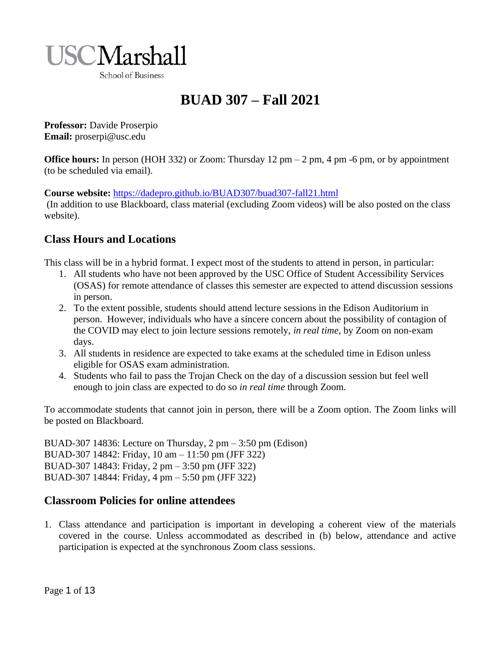

School of Business

# **BUAD 307 – Fall 2021**

**Professor:** Davide Proserpio **Email:** proserpi@usc.edu

**Office hours:** In person (HOH 332) or Zoom: Thursday 12 pm – 2 pm, 4 pm -6 pm, or by appointment (to be scheduled via email).

**Course website:** <https://dadepro.github.io/BUAD307/buad307-fall21.html>

(In addition to use Blackboard, class material (excluding Zoom videos) will be also posted on the class website).

### **Class Hours and Locations**

This class will be in a hybrid format. I expect most of the students to attend in person, in particular:

- 1. All students who have not been approved by the USC Office of Student Accessibility Services (OSAS) for remote attendance of classes this semester are expected to attend discussion sessions in person.
- 2. To the extent possible, students should attend lecture sessions in the Edison Auditorium in person. However, individuals who have a sincere concern about the possibility of contagion of the COVID may elect to join lecture sessions remotely, *in real time*, by Zoom on non-exam days.
- 3. All students in residence are expected to take exams at the scheduled time in Edison unless eligible for OSAS exam administration.
- 4. Students who fail to pass the Trojan Check on the day of a discussion session but feel well enough to join class are expected to do so *in real time* through Zoom.

To accommodate students that cannot join in person, there will be a Zoom option. The Zoom links will be posted on Blackboard.

BUAD-307 14836: Lecture on Thursday,  $2 \text{ pm} - 3:50 \text{ pm}$  (Edison) BUAD-307 14842: Friday, 10 am – 11:50 pm (JFF 322) BUAD-307 14843: Friday, 2 pm – 3:50 pm (JFF 322) BUAD-307 14844: Friday, 4 pm – 5:50 pm (JFF 322)

### **Classroom Policies for online attendees**

1. Class attendance and participation is important in developing a coherent view of the materials covered in the course. Unless accommodated as described in (b) below, attendance and active participation is expected at the synchronous Zoom class sessions.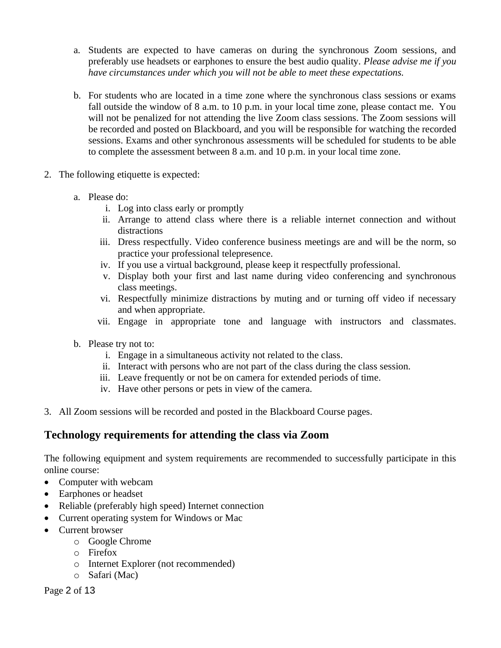- a. Students are expected to have cameras on during the synchronous Zoom sessions, and preferably use headsets or earphones to ensure the best audio quality. *Please advise me if you have circumstances under which you will not be able to meet these expectations.*
- b. For students who are located in a time zone where the synchronous class sessions or exams fall outside the window of 8 a.m. to 10 p.m. in your local time zone, please contact me. You will not be penalized for not attending the live Zoom class sessions. The Zoom sessions will be recorded and posted on Blackboard, and you will be responsible for watching the recorded sessions. Exams and other synchronous assessments will be scheduled for students to be able to complete the assessment between 8 a.m. and 10 p.m. in your local time zone.
- 2. The following etiquette is expected:
	- a. Please do:
		- i. Log into class early or promptly
		- ii. Arrange to attend class where there is a reliable internet connection and without distractions
		- iii. Dress respectfully. Video conference business meetings are and will be the norm, so practice your professional telepresence.
		- iv. If you use a virtual background, please keep it respectfully professional.
		- v. Display both your first and last name during video conferencing and synchronous class meetings.
		- vi. Respectfully minimize distractions by muting and or turning off video if necessary and when appropriate.
		- vii. Engage in appropriate tone and language with instructors and classmates.
	- b. Please try not to:
		- i. Engage in a simultaneous activity not related to the class.
		- ii. Interact with persons who are not part of the class during the class session.
		- iii. Leave frequently or not be on camera for extended periods of time.
		- iv. Have other persons or pets in view of the camera.
- 3. All Zoom sessions will be recorded and posted in the Blackboard Course pages.

### **Technology requirements for attending the class via Zoom**

The following equipment and system requirements are recommended to successfully participate in this online course:

- Computer with webcam
- Earphones or headset
- Reliable (preferably high speed) Internet connection
- Current operating system for Windows or Mac
- Current browser
	- o Google Chrome
	- o Firefox
	- o Internet Explorer (not recommended)
	- o Safari (Mac)

Page 2 of 13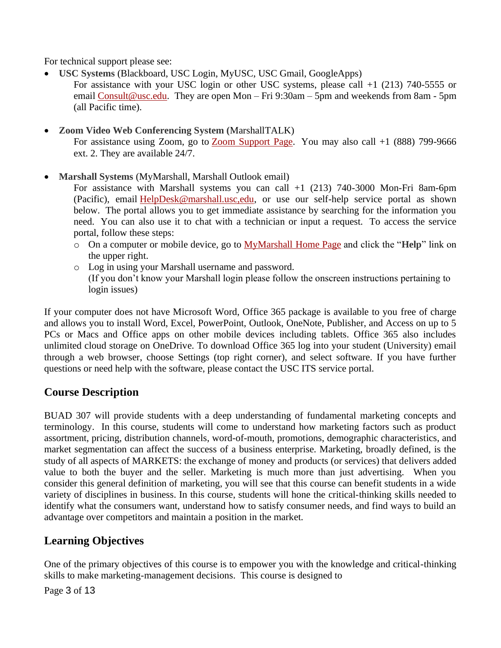For technical support please see:

- **USC Systems** (Blackboard, USC Login, MyUSC, USC Gmail, GoogleApps) For assistance with your USC login or other USC systems, please call +1 (213) 740-5555 or email [Consult@usc.edu.](mailto:Consult@usc.edu) They are open Mon – Fri 9:30am – 5pm and weekends from 8am - 5pm (all Pacific time).
- **Zoom Video Web Conferencing System (**MarshallTALK) For assistance using Zoom, go to [Zoom Support Page.](https://support.zoom.us/hc/en-us) You may also call +1 (888) 799-9666 ext. 2. They are available 24/7.
- **Marshall Systems** (MyMarshall, Marshall Outlook email)

For assistance with Marshall systems you can call +1 (213) 740-3000 Mon-Fri 8am-6pm (Pacific), email [HelpDesk@marshall.usc,edu,](mailto:HelpDesk@marshall.usc,edu) or use our self-help service portal as shown below. The portal allows you to get immediate assistance by searching for the information you need. You can also use it to chat with a technician or input a request. To access the service portal, follow these steps:

- o On a computer or mobile device, go to [MyMarshall Home Page](https://mymarshall.usc.edu/) and click the "**Help**" link on the upper right.
- o Log in using your Marshall username and password. (If you don't know your Marshall login please follow the onscreen instructions pertaining to login issues)

If your computer does not have Microsoft Word, Office 365 package is available to you free of charge and allows you to install Word, Excel, PowerPoint, Outlook, OneNote, Publisher, and Access on up to 5 PCs or Macs and Office apps on other mobile devices including tablets. Office 365 also includes unlimited cloud storage on OneDrive. To download Office 365 log into your student (University) email through a web browser, choose Settings (top right corner), and select software. If you have further questions or need help with the software, please contact the USC ITS service portal.

# **Course Description**

BUAD 307 will provide students with a deep understanding of fundamental marketing concepts and terminology. In this course, students will come to understand how marketing factors such as product assortment, pricing, distribution channels, word-of-mouth, promotions, demographic characteristics, and market segmentation can affect the success of a business enterprise. Marketing, broadly defined, is the study of all aspects of MARKETS: the exchange of money and products (or services) that delivers added value to both the buyer and the seller. Marketing is much more than just advertising. When you consider this general definition of marketing, you will see that this course can benefit students in a wide variety of disciplines in business. In this course, students will hone the critical-thinking skills needed to identify what the consumers want, understand how to satisfy consumer needs, and find ways to build an advantage over competitors and maintain a position in the market.

# **Learning Objectives**

One of the primary objectives of this course is to empower you with the knowledge and critical-thinking skills to make marketing-management decisions. This course is designed to

Page 3 of 13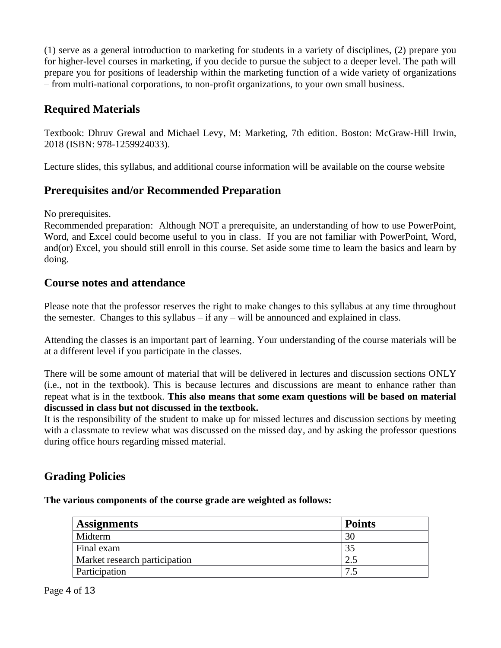(1) serve as a general introduction to marketing for students in a variety of disciplines, (2) prepare you for higher-level courses in marketing, if you decide to pursue the subject to a deeper level. The path will prepare you for positions of leadership within the marketing function of a wide variety of organizations – from multi-national corporations, to non-profit organizations, to your own small business.

# **Required Materials**

Textbook: Dhruv Grewal and Michael Levy, M: Marketing, 7th edition. Boston: McGraw-Hill Irwin, 2018 (ISBN: 978-1259924033).

Lecture slides, this syllabus, and additional course information will be available on the course website

# **Prerequisites and/or Recommended Preparation**

No prerequisites.

Recommended preparation: Although NOT a prerequisite, an understanding of how to use PowerPoint, Word, and Excel could become useful to you in class. If you are not familiar with PowerPoint, Word, and(or) Excel, you should still enroll in this course. Set aside some time to learn the basics and learn by doing.

# **Course notes and attendance**

Please note that the professor reserves the right to make changes to this syllabus at any time throughout the semester. Changes to this syllabus  $-$  if any  $-$  will be announced and explained in class.

Attending the classes is an important part of learning. Your understanding of the course materials will be at a different level if you participate in the classes.

There will be some amount of material that will be delivered in lectures and discussion sections ONLY (i.e., not in the textbook). This is because lectures and discussions are meant to enhance rather than repeat what is in the textbook. **This also means that some exam questions will be based on material discussed in class but not discussed in the textbook.**

It is the responsibility of the student to make up for missed lectures and discussion sections by meeting with a classmate to review what was discussed on the missed day, and by asking the professor questions during office hours regarding missed material.

# **Grading Policies**

**The various components of the course grade are weighted as follows:**

| <b>Assignments</b>            | <b>Points</b> |
|-------------------------------|---------------|
| Midterm                       | 30            |
| Final exam                    |               |
| Market research participation | 2.5           |
| Participation                 | 74            |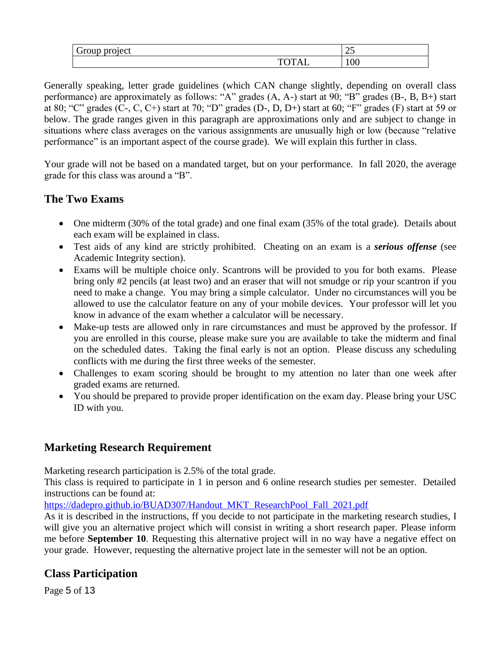| project<br>Group | $\sim$ $\sim$<br>ب∠ |
|------------------|---------------------|
|                  | 100                 |

Generally speaking, letter grade guidelines (which CAN change slightly, depending on overall class performance) are approximately as follows: "A" grades (A, A-) start at 90; "B" grades (B-, B, B+) start at 80; "C" grades (C-, C, C+) start at 70; "D" grades (D-, D, D+) start at 60; "F" grades (F) start at 59 or below. The grade ranges given in this paragraph are approximations only and are subject to change in situations where class averages on the various assignments are unusually high or low (because "relative performance" is an important aspect of the course grade). We will explain this further in class.

Your grade will not be based on a mandated target, but on your performance. In fall 2020, the average grade for this class was around a "B".

# **The Two Exams**

- One midterm (30% of the total grade) and one final exam (35% of the total grade). Details about each exam will be explained in class.
- Test aids of any kind are strictly prohibited. Cheating on an exam is a *serious offense* (see Academic Integrity section).
- Exams will be multiple choice only. Scantrons will be provided to you for both exams. Please bring only #2 pencils (at least two) and an eraser that will not smudge or rip your scantron if you need to make a change. You may bring a simple calculator. Under no circumstances will you be allowed to use the calculator feature on any of your mobile devices. Your professor will let you know in advance of the exam whether a calculator will be necessary.
- Make-up tests are allowed only in rare circumstances and must be approved by the professor. If you are enrolled in this course, please make sure you are available to take the midterm and final on the scheduled dates. Taking the final early is not an option. Please discuss any scheduling conflicts with me during the first three weeks of the semester.
- Challenges to exam scoring should be brought to my attention no later than one week after graded exams are returned.
- You should be prepared to provide proper identification on the exam day. Please bring your USC ID with you.

# **Marketing Research Requirement**

Marketing research participation is 2.5% of the total grade.

This class is required to participate in 1 in person and 6 online research studies per semester. Detailed instructions can be found at:

[https://dadepro.github.io/BUAD307/Handout\\_MKT\\_ResearchPool\\_Fall\\_2021.pdf](https://dadepro.github.io/BUAD307/Handout_MKT_ResearchPool_Fall_2021.pdf)

As it is described in the instructions, ff you decide to not participate in the marketing research studies, I will give you an alternative project which will consist in writing a short research paper. Please inform me before **September 10**. Requesting this alternative project will in no way have a negative effect on your grade. However, requesting the alternative project late in the semester will not be an option.

# **Class Participation**

Page 5 of 13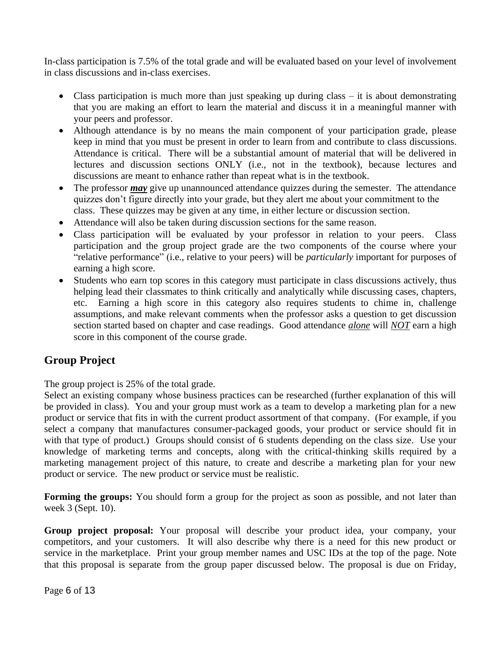In-class participation is 7.5% of the total grade and will be evaluated based on your level of involvement in class discussions and in-class exercises.

- Class participation is much more than just speaking up during class it is about demonstrating that you are making an effort to learn the material and discuss it in a meaningful manner with your peers and professor.
- Although attendance is by no means the main component of your participation grade, please keep in mind that you must be present in order to learn from and contribute to class discussions. Attendance is critical. There will be a substantial amount of material that will be delivered in lectures and discussion sections ONLY (i.e., not in the textbook), because lectures and discussions are meant to enhance rather than repeat what is in the textbook.
- The professor *may* give up unannounced attendance quizzes during the semester. The attendance quizzes don't figure directly into your grade, but they alert me about your commitment to the class. These quizzes may be given at any time, in either lecture or discussion section.
- Attendance will also be taken during discussion sections for the same reason.
- Class participation will be evaluated by your professor in relation to your peers. Class participation and the group project grade are the two components of the course where your "relative performance" (i.e., relative to your peers) will be *particularly* important for purposes of earning a high score.
- Students who earn top scores in this category must participate in class discussions actively, thus helping lead their classmates to think critically and analytically while discussing cases, chapters, etc. Earning a high score in this category also requires students to chime in, challenge assumptions, and make relevant comments when the professor asks a question to get discussion section started based on chapter and case readings. Good attendance *alone* will *NOT* earn a high score in this component of the course grade.

# **Group Project**

The group project is 25% of the total grade.

Select an existing company whose business practices can be researched (further explanation of this will be provided in class). You and your group must work as a team to develop a marketing plan for a new product or service that fits in with the current product assortment of that company. (For example, if you select a company that manufactures consumer-packaged goods, your product or service should fit in with that type of product.) Groups should consist of 6 students depending on the class size. Use your knowledge of marketing terms and concepts, along with the critical-thinking skills required by a marketing management project of this nature, to create and describe a marketing plan for your new product or service. The new product or service must be realistic.

**Forming the groups:** You should form a group for the project as soon as possible, and not later than week 3 (Sept. 10).

**Group project proposal:** Your proposal will describe your product idea, your company, your competitors, and your customers. It will also describe why there is a need for this new product or service in the marketplace. Print your group member names and USC IDs at the top of the page. Note that this proposal is separate from the group paper discussed below. The proposal is due on Friday,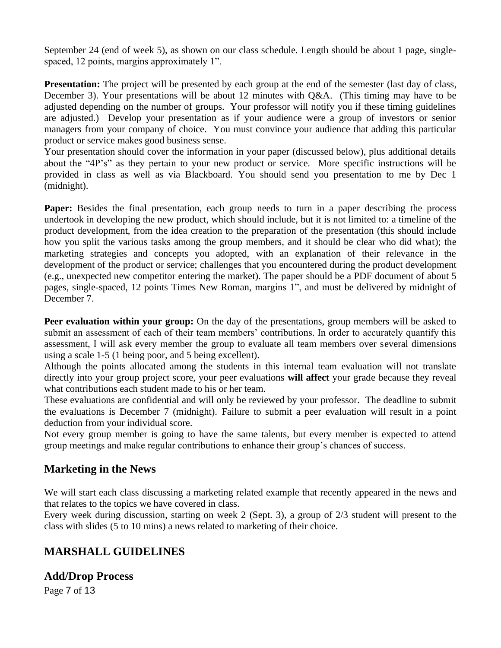September 24 (end of week 5), as shown on our class schedule. Length should be about 1 page, singlespaced, 12 points, margins approximately 1".

**Presentation:** The project will be presented by each group at the end of the semester (last day of class, December 3). Your presentations will be about 12 minutes with Q&A. (This timing may have to be adjusted depending on the number of groups. Your professor will notify you if these timing guidelines are adjusted.) Develop your presentation as if your audience were a group of investors or senior managers from your company of choice. You must convince your audience that adding this particular product or service makes good business sense.

Your presentation should cover the information in your paper (discussed below), plus additional details about the "4P's" as they pertain to your new product or service. More specific instructions will be provided in class as well as via Blackboard. You should send you presentation to me by Dec 1 (midnight).

**Paper:** Besides the final presentation, each group needs to turn in a paper describing the process undertook in developing the new product, which should include, but it is not limited to: a timeline of the product development, from the idea creation to the preparation of the presentation (this should include how you split the various tasks among the group members, and it should be clear who did what); the marketing strategies and concepts you adopted, with an explanation of their relevance in the development of the product or service; challenges that you encountered during the product development (e.g., unexpected new competitor entering the market). The paper should be a PDF document of about 5 pages, single-spaced, 12 points Times New Roman, margins 1", and must be delivered by midnight of December 7.

**Peer evaluation within your group:** On the day of the presentations, group members will be asked to submit an assessment of each of their team members' contributions. In order to accurately quantify this assessment, I will ask every member the group to evaluate all team members over several dimensions using a scale 1-5 (1 being poor, and 5 being excellent).

Although the points allocated among the students in this internal team evaluation will not translate directly into your group project score, your peer evaluations **will affect** your grade because they reveal what contributions each student made to his or her team.

These evaluations are confidential and will only be reviewed by your professor. The deadline to submit the evaluations is December 7 (midnight). Failure to submit a peer evaluation will result in a point deduction from your individual score.

Not every group member is going to have the same talents, but every member is expected to attend group meetings and make regular contributions to enhance their group's chances of success.

### **Marketing in the News**

We will start each class discussing a marketing related example that recently appeared in the news and that relates to the topics we have covered in class.

Every week during discussion, starting on week 2 (Sept. 3), a group of 2/3 student will present to the class with slides (5 to 10 mins) a news related to marketing of their choice.

# **MARSHALL GUIDELINES**

# **Add/Drop Process**

Page 7 of 13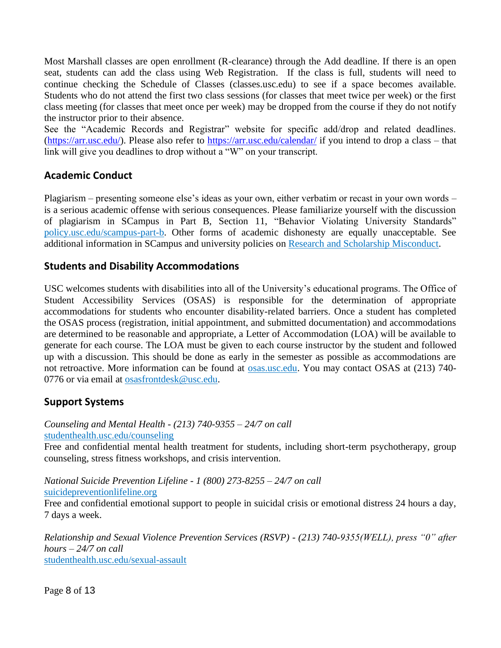Most Marshall classes are open enrollment (R-clearance) through the Add deadline. If there is an open seat, students can add the class using Web Registration. If the class is full, students will need to continue checking the Schedule of Classes (classes.usc.edu) to see if a space becomes available. Students who do not attend the first two class sessions (for classes that meet twice per week) or the first class meeting (for classes that meet once per week) may be dropped from the course if they do not notify the instructor prior to their absence.

See the "Academic Records and Registrar" website for specific add/drop and related deadlines. [\(https://arr.usc.edu/\)](https://arr.usc.edu/). Please also refer to<https://arr.usc.edu/calendar/> if you intend to drop a class – that link will give you deadlines to drop without a "W" on your transcript.

# **Academic Conduct**

Plagiarism – presenting someone else's ideas as your own, either verbatim or recast in your own words – is a serious academic offense with serious consequences. Please familiarize yourself with the discussion of plagiarism in SCampus in Part B, Section 11, "Behavior Violating University Standards" [policy.usc.edu/scampus-part-b.](https://policy.usc.edu/scampus-part-b/) Other forms of academic dishonesty are equally unacceptable. See additional information in SCampus and university policies on [Research and Scholarship Misconduct.](https://policy.usc.edu/research-and-scholarship-misconduct/)

### **Students and Disability Accommodations**

USC welcomes students with disabilities into all of the University's educational programs. The Office of Student Accessibility Services (OSAS) is responsible for the determination of appropriate accommodations for students who encounter disability-related barriers. Once a student has completed the OSAS process (registration, initial appointment, and submitted documentation) and accommodations are determined to be reasonable and appropriate, a Letter of Accommodation (LOA) will be available to generate for each course. The LOA must be given to each course instructor by the student and followed up with a discussion. This should be done as early in the semester as possible as accommodations are not retroactive. More information can be found at [osas.usc.edu.](http://osas.usc.edu/) You may contact OSAS at (213) 740- 0776 or via email at [osasfrontdesk@usc.edu.](mailto:osasfrontdesk@usc.edu)

# **Support Systems**

*Counseling and Mental Health - (213) 740-9355 – 24/7 on call* [studenthealth.usc.edu/counseling](https://studenthealth.usc.edu/counseling/)

Free and confidential mental health treatment for students, including short-term psychotherapy, group [co](https://engemannshc.usc.edu/counseling/)unseling, stress fitness workshops, and crisis intervention.

*National Suicide Prevention Lifeline - 1 (800) 273-8255 – 24/7 on call* [suicidepreventionlifeline.org](http://www.suicidepreventionlifeline.org/)

Free and confidential emotional support to people in suicidal crisis or emotional distress 24 hours a day, [7](http://www.suicidepreventionlifeline.org/) days a week.

*Relationship and Sexual Violence Prevention Services (RSVP) - (213) 740-9355(WELL), press "0" after hours – 24/7 on call* [studenthealth.usc.edu/sexual-assault](https://studenthealth.usc.edu/sexual-assault/)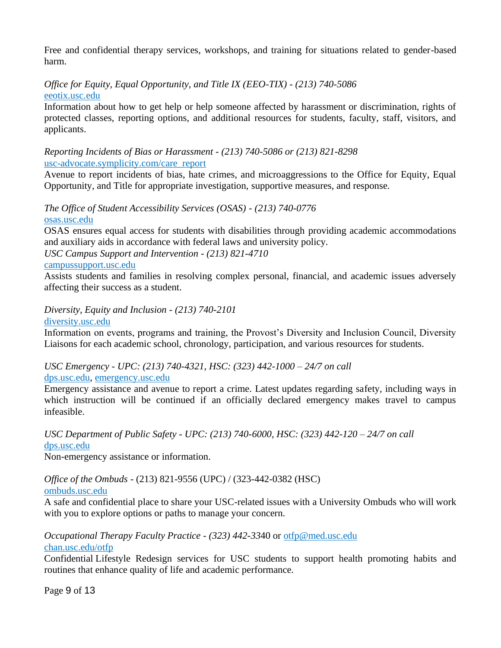Free and confidential therapy services, workshops, and training for situations related to gender-based harm[.](https://engemannshc.usc.edu/rsvp/)

*Office for Equity, Equal Opportunity, and Title IX (EEO-TIX) - (213) 740-5086*  [eeotix.usc.edu](https://eeotix.usc.edu/)

Information about how to get help or help someone affected by harassment or discrimination, rights of protected classes, reporting options, and additional resources for students, faculty, staff, visitors, and applicants.

#### *Reporting Incidents of Bias or Harassment - (213) 740-5086 or (213) 821-8298* [usc-advocate.symplicity.com/care\\_report](https://usc-advocate.symplicity.com/care_report/)

Avenue to report incidents of bias, hate crimes, and microaggressions to the Office for Equity, Equal Opportunity, and Title for appropriate investigation, supportive measures, and response[.](https://studentaffairs.usc.edu/bias-assessment-response-support/)

*The Office of Student Accessibility Services (OSAS) - (213) 740-0776* [osas.usc.edu](http://osas.usc.edu/)

OSAS ensures equal access for students with disabilities through providing academic accommodations and auxiliary aids in accordance with federal laws and university policy.

*USC Campus Support and Intervention - (213) 821-4710*

#### [campussupport.usc.edu](https://campussupport.usc.edu/)

Assists students and families in resolving complex personal, financial, and academic issues adversely affecting their success as a student.

*Diversity, Equity and Inclusion - (213) 740-2101*

[diversity.usc.edu](https://diversity.usc.edu/)

Information on events, programs and training, the Provost's Diversity and Inclusion Council, Diversity Liaisons for each academic school, chronology, participation, and various resources for students.

*USC Emergency - UPC: (213) 740-4321, HSC: (323) 442-1000 – 24/7 on call* 

#### [dps.usc.edu,](http://dps.usc.edu/) [emergency.usc.edu](http://emergency.usc.edu/)

Emergency assistance and avenue to report a crime. Latest updates regarding safety, including ways in which instruction will be continued if an officially declared emergency makes travel to campus infeasible.

*USC Department of Public Safety - UPC: (213) 740-6000, HSC: (323) 442-120 – 24/7 on call*  [dps.usc.edu](http://dps.usc.edu/)

Non-emergency assistance or information.

*Office of the Ombuds* - (213) 821-9556 (UPC) / (323-442-0382 (HSC)

#### [ombuds.usc.edu](http://ombuds.usc.edu/)

A safe and confidential place to share your USC-related issues with a University Ombuds who will work with you to explore options or paths to manage your concern.

*Occupational Therapy Faculty Practice - (323) 442-33*40 or [otfp@med.usc.edu](mailto:otfp@med.usc.edu) [chan.usc.edu/otfp](http://chan.usc.edu/otfp)

Confidential Lifestyle Redesign services for USC students to support health promoting habits and routines that enhance quality of life and academic performance.

Page 9 of 13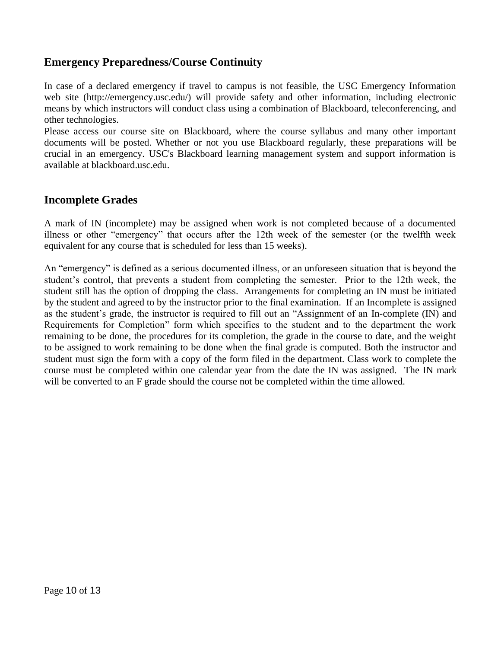# **Emergency Preparedness/Course Continuity**

In case of a declared emergency if travel to campus is not feasible, the USC Emergency Information web site (http://emergency.usc.edu/) will provide safety and other information, including electronic means by which instructors will conduct class using a combination of Blackboard, teleconferencing, and other technologies.

Please access our course site on Blackboard, where the course syllabus and many other important documents will be posted. Whether or not you use Blackboard regularly, these preparations will be crucial in an emergency. USC's Blackboard learning management system and support information is available at [blackboard.usc.edu.](http://blackboard.usc.edu/)

### **Incomplete Grades**

A mark of IN (incomplete) may be assigned when work is not completed because of a documented illness or other "emergency" that occurs after the 12th week of the semester (or the twelfth week equivalent for any course that is scheduled for less than 15 weeks).

An "emergency" is defined as a serious documented illness, or an unforeseen situation that is beyond the student's control, that prevents a student from completing the semester. Prior to the 12th week, the student still has the option of dropping the class. Arrangements for completing an IN must be initiated by the student and agreed to by the instructor prior to the final examination. If an Incomplete is assigned as the student's grade, the instructor is required to fill out an "Assignment of an In-complete (IN) and Requirements for Completion" form which specifies to the student and to the department the work remaining to be done, the procedures for its completion, the grade in the course to date, and the weight to be assigned to work remaining to be done when the final grade is computed. Both the instructor and student must sign the form with a copy of the form filed in the department. Class work to complete the course must be completed within one calendar year from the date the IN was assigned. The IN mark will be converted to an F grade should the course not be completed within the time allowed.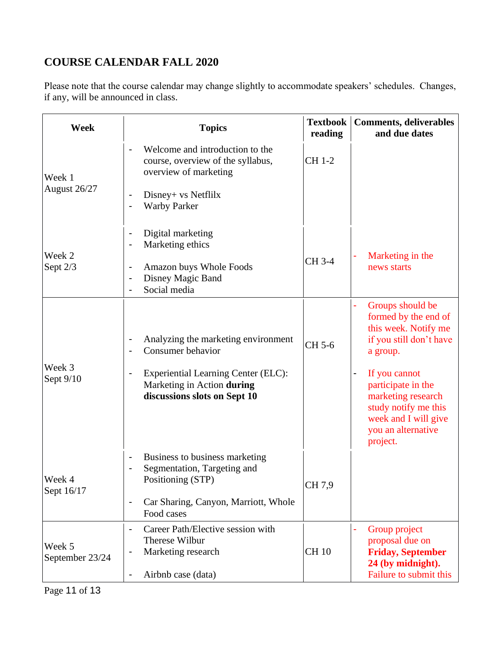# **COURSE CALENDAR FALL 2020**

Please note that the course calendar may change slightly to accommodate speakers' schedules. Changes, if any, will be announced in class.

| Week                      | <b>Topics</b>                                                                                                                                                                                   | <b>Textbook</b><br>reading | <b>Comments, deliverables</b><br>and due dates                                                                                                                                                                                                                                     |
|---------------------------|-------------------------------------------------------------------------------------------------------------------------------------------------------------------------------------------------|----------------------------|------------------------------------------------------------------------------------------------------------------------------------------------------------------------------------------------------------------------------------------------------------------------------------|
| Week 1<br>August 26/27    | Welcome and introduction to the<br>course, overview of the syllabus,<br>overview of marketing<br>Disney+ vs Netflilx                                                                            | CH 1-2                     |                                                                                                                                                                                                                                                                                    |
| Week 2<br>Sept 2/3        | <b>Warby Parker</b><br>Digital marketing<br>Marketing ethics<br>Amazon buys Whole Foods<br>Disney Magic Band                                                                                    | CH 3-4                     | Marketing in the<br>news starts                                                                                                                                                                                                                                                    |
| Week 3<br>Sept $9/10$     | Social media<br>Analyzing the marketing environment<br>Consumer behavior<br>$\blacksquare$<br>Experiential Learning Center (ELC):<br>Marketing in Action during<br>discussions slots on Sept 10 | CH 5-6                     | Groups should be<br>formed by the end of<br>this week. Notify me<br>if you still don't have<br>a group.<br>If you cannot<br>$\overline{\phantom{0}}$<br>participate in the<br>marketing research<br>study notify me this<br>week and I will give<br>you an alternative<br>project. |
| Week 4<br>Sept 16/17      | Business to business marketing<br>Segmentation, Targeting and<br>Positioning (STP)<br>Car Sharing, Canyon, Marriott, Whole<br>Food cases                                                        | CH 7,9                     |                                                                                                                                                                                                                                                                                    |
| Week 5<br>September 23/24 | Career Path/Elective session with<br>Therese Wilbur<br>Marketing research<br>Airbnb case (data)                                                                                                 | <b>CH 10</b>               | Group project<br>proposal due on<br><b>Friday, September</b><br>24 (by midnight).<br>Failure to submit this                                                                                                                                                                        |

Page 11 of 13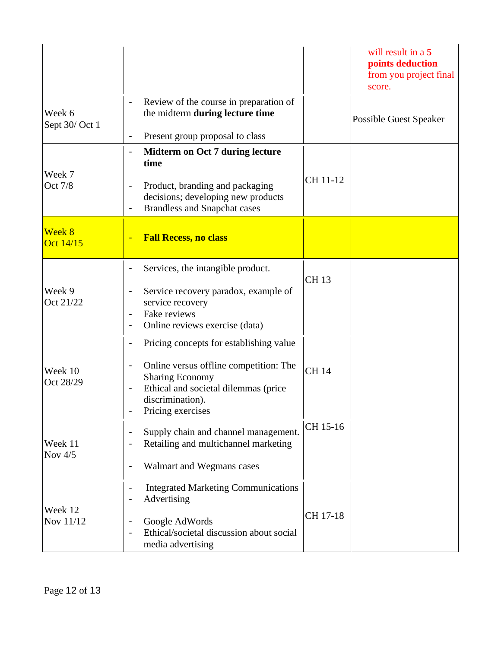|                         |                                                                                                                                                                                              |             | will result in a 5<br>points deduction<br>from you project final<br>score. |
|-------------------------|----------------------------------------------------------------------------------------------------------------------------------------------------------------------------------------------|-------------|----------------------------------------------------------------------------|
| Week 6<br>Sept 30/Oct 1 | Review of the course in preparation of<br>the midterm during lecture time<br>Present group proposal to class                                                                                 |             | <b>Possible Guest Speaker</b>                                              |
| Week 7<br>Oct 7/8       | Midterm on Oct 7 during lecture<br>time<br>Product, branding and packaging<br>decisions; developing new products<br><b>Brandless and Snapchat cases</b>                                      | CH 11-12    |                                                                            |
| Week 8<br>Oct 14/15     | <b>Fall Recess, no class</b>                                                                                                                                                                 |             |                                                                            |
| Week 9<br>Oct 21/22     | Services, the intangible product.<br>Service recovery paradox, example of<br>service recovery<br>Fake reviews<br>Online reviews exercise (data)                                              | <b>CH13</b> |                                                                            |
| Week 10<br>Oct 28/29    | Pricing concepts for establishing value<br>Online versus offline competition: The<br><b>Sharing Economy</b><br>Ethical and societal dilemmas (price<br>discrimination).<br>Pricing exercises | <b>CH14</b> |                                                                            |
| Week 11<br>Nov 4/5      | Supply chain and channel management.<br>Retailing and multichannel marketing<br>Walmart and Wegmans cases                                                                                    | CH 15-16    |                                                                            |
| Week 12<br>Nov 11/12    | <b>Integrated Marketing Communications</b><br>Advertising<br>Google AdWords<br>Ethical/societal discussion about social<br>media advertising                                                 | CH 17-18    |                                                                            |